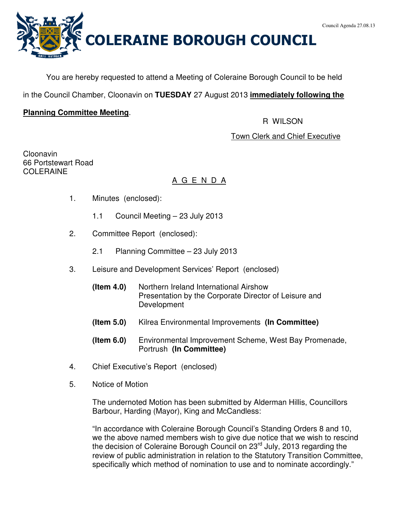

You are hereby requested to attend a Meeting of Coleraine Borough Council to be held

in the Council Chamber, Cloonavin on **TUESDAY** 27 August 2013 **immediately following the**

# **Planning Committee Meeting**.

R WILSON

# Town Clerk and Chief Executive

Cloonavin 66 Portstewart Road COLERAINE

# A G E N D A

- 1. Minutes (enclosed):
	- 1.1 Council Meeting 23 July 2013
- 2. Committee Report (enclosed):
	- 2.1 Planning Committee 23 July 2013
- 3. Leisure and Development Services' Report (enclosed)
	- **(Item 4.0)** Northern Ireland International Airshow Presentation by the Corporate Director of Leisure and Development
	- **(Item 5.0)** Kilrea Environmental Improvements **(In Committee)**
	- **(Item 6.0)** Environmental Improvement Scheme, West Bay Promenade, Portrush **(In Committee)**
- 4. Chief Executive's Report (enclosed)
- 5. Notice of Motion

The undernoted Motion has been submitted by Alderman Hillis, Councillors Barbour, Harding (Mayor), King and McCandless:

"In accordance with Coleraine Borough Council's Standing Orders 8 and 10, we the above named members wish to give due notice that we wish to rescind the decision of Coleraine Borough Council on 23<sup>rd</sup> July, 2013 regarding the review of public administration in relation to the Statutory Transition Committee, specifically which method of nomination to use and to nominate accordingly."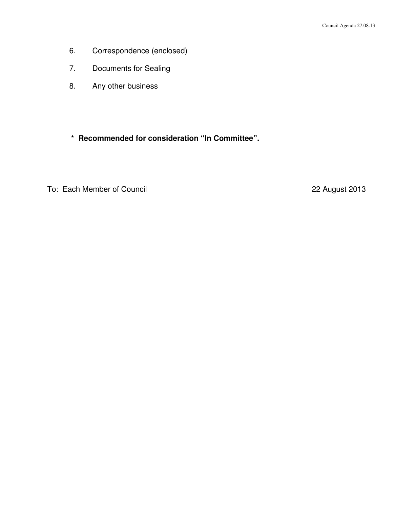- 6. Correspondence (enclosed)
- 7. Documents for Sealing
- 8. Any other business
- **\* Recommended for consideration "In Committee".**

# To: Each Member of Council 22 August 2013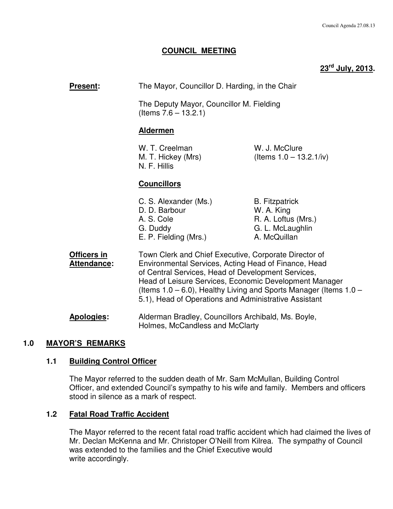# **COUNCIL MEETING**

# **23rd July, 2013.**

| Present:                          | The Mayor, Councillor D. Harding, in the Chair                                                                                                                                                                                                                                                                                                                   |                                                                                                |  |  |  |
|-----------------------------------|------------------------------------------------------------------------------------------------------------------------------------------------------------------------------------------------------------------------------------------------------------------------------------------------------------------------------------------------------------------|------------------------------------------------------------------------------------------------|--|--|--|
|                                   | The Deputy Mayor, Councillor M. Fielding<br>(Items $7.6 - 13.2.1$ )                                                                                                                                                                                                                                                                                              |                                                                                                |  |  |  |
|                                   | <b>Aldermen</b>                                                                                                                                                                                                                                                                                                                                                  |                                                                                                |  |  |  |
|                                   | W. T. Creelman<br>M. T. Hickey (Mrs)<br>N. F. Hillis                                                                                                                                                                                                                                                                                                             | W. J. McClure<br>(Items $1.0 - 13.2.1/iv$ )                                                    |  |  |  |
|                                   | <b>Councillors</b>                                                                                                                                                                                                                                                                                                                                               |                                                                                                |  |  |  |
|                                   | C. S. Alexander (Ms.)<br>D. D. Barbour<br>A. S. Cole<br>G. Duddy<br>E. P. Fielding (Mrs.)                                                                                                                                                                                                                                                                        | <b>B.</b> Fitzpatrick<br>W. A. King<br>R. A. Loftus (Mrs.)<br>G. L. McLaughlin<br>A. McQuillan |  |  |  |
| Officers in<br><b>Attendance:</b> | Town Clerk and Chief Executive, Corporate Director of<br>Environmental Services, Acting Head of Finance, Head<br>of Central Services, Head of Development Services,<br>Head of Leisure Services, Economic Development Manager<br>(Items $1.0 - 6.0$ ), Healthy Living and Sports Manager (Items $1.0 -$<br>5.1), Head of Operations and Administrative Assistant |                                                                                                |  |  |  |
| <b>Apologies:</b>                 | Alderman Bradley, Councillors Archibald, Ms. Boyle,<br>Holmes, McCandless and McClarty                                                                                                                                                                                                                                                                           |                                                                                                |  |  |  |

#### **1.0 MAYOR'S REMARKS**

#### **1.1 Building Control Officer**

 The Mayor referred to the sudden death of Mr. Sam McMullan, Building Control Officer, and extended Council's sympathy to his wife and family. Members and officers stood in silence as a mark of respect.

# **1.2 Fatal Road Traffic Accident**

The Mayor referred to the recent fatal road traffic accident which had claimed the lives of Mr. Declan McKenna and Mr. Christoper O'Neill from Kilrea. The sympathy of Council was extended to the families and the Chief Executive would write accordingly.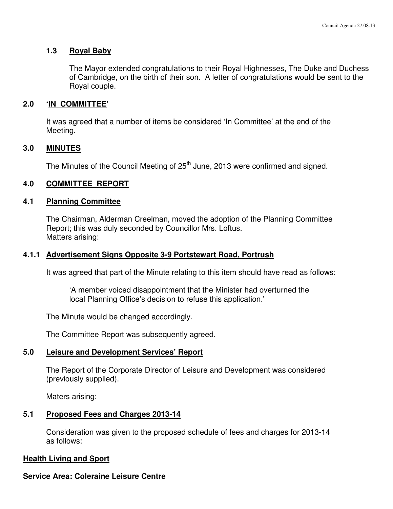#### **1.3 Royal Baby**

The Mayor extended congratulations to their Royal Highnesses, The Duke and Duchess of Cambridge, on the birth of their son. A letter of congratulations would be sent to the Royal couple.

#### **2.0 'IN COMMITTEE'**

 It was agreed that a number of items be considered 'In Committee' at the end of the Meeting.

#### **3.0 MINUTES**

The Minutes of the Council Meeting of  $25<sup>th</sup>$  June, 2013 were confirmed and signed.

#### **4.0 COMMITTEE REPORT**

### **4.1 Planning Committee**

 The Chairman, Alderman Creelman, moved the adoption of the Planning Committee Report; this was duly seconded by Councillor Mrs. Loftus. Matters arising:

#### **4.1.1 Advertisement Signs Opposite 3-9 Portstewart Road, Portrush**

It was agreed that part of the Minute relating to this item should have read as follows:

 'A member voiced disappointment that the Minister had overturned the local Planning Office's decision to refuse this application.'

The Minute would be changed accordingly.

The Committee Report was subsequently agreed.

#### **5.0 Leisure and Development Services' Report**

 The Report of the Corporate Director of Leisure and Development was considered (previously supplied).

Maters arising:

#### **5.1 Proposed Fees and Charges 2013-14**

 Consideration was given to the proposed schedule of fees and charges for 2013-14 as follows:

#### **Health Living and Sport**

#### **Service Area: Coleraine Leisure Centre**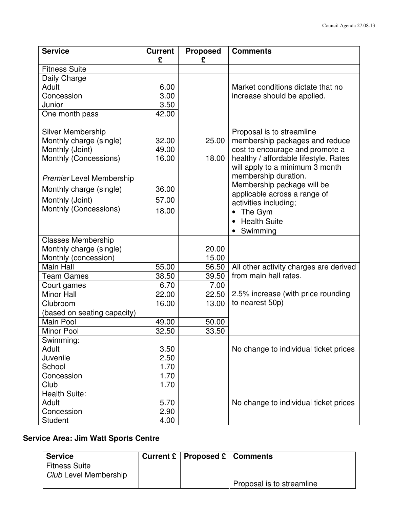| <b>Service</b>                  | <b>Current</b><br>£ | <b>Proposed</b><br>£ | <b>Comments</b>                                                          |
|---------------------------------|---------------------|----------------------|--------------------------------------------------------------------------|
| <b>Fitness Suite</b>            |                     |                      |                                                                          |
| Daily Charge                    |                     |                      |                                                                          |
| Adult                           | 6.00                |                      | Market conditions dictate that no                                        |
| Concession                      | 3.00                |                      | increase should be applied.                                              |
| Junior                          | 3.50                |                      |                                                                          |
| One month pass                  | 42.00               |                      |                                                                          |
| <b>Silver Membership</b>        |                     |                      | Proposal is to streamline                                                |
| Monthly charge (single)         | 32.00               | 25.00                | membership packages and reduce                                           |
| Monthly (Joint)                 | 49.00               |                      | cost to encourage and promote a                                          |
| Monthly (Concessions)           | 16.00               | 18.00                | healthy / affordable lifestyle. Rates<br>will apply to a minimum 3 month |
| <b>Premier Level Membership</b> |                     |                      | membership duration.                                                     |
| Monthly charge (single)         | 36.00               |                      | Membership package will be                                               |
| Monthly (Joint)                 | 57.00               |                      | applicable across a range of                                             |
| Monthly (Concessions)           | 18.00               |                      | activities including;                                                    |
|                                 |                     |                      | The Gym<br>$\bullet$                                                     |
|                                 |                     |                      | <b>Health Suite</b><br>$\bullet$                                         |
|                                 |                     |                      | Swimming                                                                 |
| <b>Classes Membership</b>       |                     |                      |                                                                          |
| Monthly charge (single)         |                     | 20.00                |                                                                          |
| Monthly (concession)            |                     | 15.00                |                                                                          |
| Main Hall                       | 55.00               | 56.50                | All other activity charges are derived                                   |
| <b>Team Games</b>               | 38.50               | 39.50                | from main hall rates.                                                    |
| Court games                     | 6.70                | 7.00                 |                                                                          |
| <b>Minor Hall</b>               | 22.00               | 22.50                | 2.5% increase (with price rounding                                       |
| Clubroom                        | 16.00               | 13.00                | to nearest 50p)                                                          |
| (based on seating capacity)     |                     |                      |                                                                          |
| Main Pool                       | 49.00               | 50.00                |                                                                          |
| <b>Minor Pool</b>               | 32.50               | 33.50                |                                                                          |
| Swimming:                       |                     |                      |                                                                          |
| Adult                           | 3.50                |                      | No change to individual ticket prices                                    |
| Juvenile                        | 2.50                |                      |                                                                          |
| School                          | 1.70                |                      |                                                                          |
| Concession                      | 1.70                |                      |                                                                          |
| Club                            | 1.70                |                      |                                                                          |
| <b>Health Suite:</b>            |                     |                      |                                                                          |
| Adult                           | 5.70                |                      | No change to individual ticket prices                                    |
| Concession                      | 2.90                |                      |                                                                          |
| <b>Student</b>                  | 4.00                |                      |                                                                          |

# **Service Area: Jim Watt Sports Centre**

| <b>Service</b>               | Current $E \mid$ Proposed $E \mid$ Comments |                           |
|------------------------------|---------------------------------------------|---------------------------|
| <b>Fitness Suite</b>         |                                             |                           |
| <b>Club Level Membership</b> |                                             |                           |
|                              |                                             | Proposal is to streamline |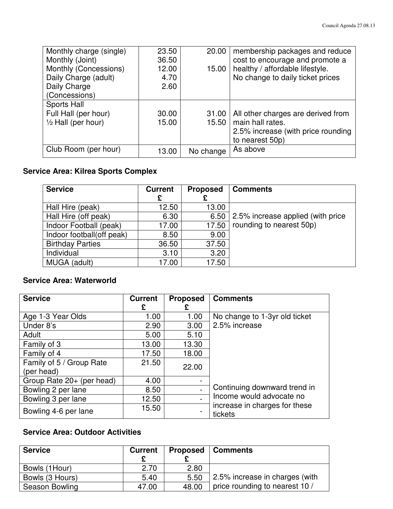| Monthly charge (single)       | 23.50 | 20.00     | membership packages and reduce     |
|-------------------------------|-------|-----------|------------------------------------|
| Monthly (Joint)               | 36.50 |           | cost to encourage and promote a    |
| Monthly (Concessions)         | 12.00 | 15.00     | healthy / affordable lifestyle.    |
| Daily Charge (adult)          | 4.70  |           | No change to daily ticket prices   |
| Daily Charge                  | 2.60  |           |                                    |
| (Concessions)                 |       |           |                                    |
| Sports Hall                   |       |           |                                    |
| Full Hall (per hour)          | 30.00 | 31.00     | All other charges are derived from |
| $\frac{1}{2}$ Hall (per hour) | 15.00 | $15.50$   | main hall rates.                   |
|                               |       |           | 2.5% increase (with price rounding |
|                               |       |           | to nearest 50p)                    |
| Club Room (per hour)          | 13.00 | No change | As above                           |

# **Service Area: Kilrea Sports Complex**

| <b>Service</b>            | <b>Current</b><br>£ | <b>Proposed</b> | <b>Comments</b>                   |
|---------------------------|---------------------|-----------------|-----------------------------------|
| Hall Hire (peak)          | 12.50               | 13.00           |                                   |
| Hall Hire (off peak)      | 6.30                | 6.50            | 2.5% increase applied (with price |
| Indoor Football (peak)    | 17.00               | 17.50           | rounding to nearest 50p)          |
| Indoor football(off peak) | 8.50                | 9.00            |                                   |
| <b>Birthday Parties</b>   | 36.50               | 37.50           |                                   |
| Individual                | 3.10                | 3.20            |                                   |
| MUGA (adult)              | 17.00               | 17.50           |                                   |

# **Service Area: Waterworld**

| <b>Service</b>            | <b>Current</b> | <b>Proposed</b> | <b>Comments</b>                          |
|---------------------------|----------------|-----------------|------------------------------------------|
|                           | £              | £               |                                          |
| Age 1-3 Year Olds         | 1.00           | 1.00            | No change to 1-3yr old ticket            |
| Under 8's                 | 2.90           | 3.00            | 2.5% increase                            |
| Adult                     | 5.00           | 5.10            |                                          |
| Family of 3               | 13.00          | 13.30           |                                          |
| Family of 4               | 17.50          | 18.00           |                                          |
| Family of 5 / Group Rate  | 21.50          | 22.00           |                                          |
| (per head)                |                |                 |                                          |
| Group Rate 20+ (per head) | 4.00           |                 |                                          |
| Bowling 2 per lane        | 8.50           |                 | Continuing downward trend in             |
| Bowling 3 per lane        | 12.50          |                 | Income would advocate no                 |
| Bowling 4-6 per lane      | 15.50          |                 | increase in charges for these<br>tickets |

# **Service Area: Outdoor Activities**

| <b>Service</b>  | <b>Current</b> |       | <b>Proposed   Comments</b>     |
|-----------------|----------------|-------|--------------------------------|
| Bowls (1Hour)   | 2.70           | 2.80  |                                |
| Bowls (3 Hours) | 5.40           | 5.50  | 2.5% increase in charges (with |
| Season Bowling  | 47.00          | 48.00 | price rounding to nearest 10 / |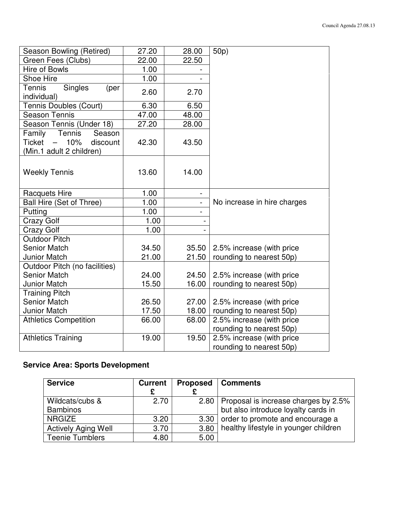| Season Bowling (Retired)                             | 27.20        | 28.00          | 50p)                        |
|------------------------------------------------------|--------------|----------------|-----------------------------|
| Green Fees (Clubs)                                   | 22.00        | 22.50          |                             |
| Hire of Bowls                                        | 1.00         |                |                             |
| <b>Shoe Hire</b>                                     | 1.00         |                |                             |
| <b>Tennis</b><br>Singles<br>(per                     | 2.60         | 2.70           |                             |
| individual)                                          |              |                |                             |
| <b>Tennis Doubles (Court)</b>                        | 6.30         | 6.50           |                             |
| <b>Season Tennis</b>                                 | 47.00        | 48.00          |                             |
| Season Tennis (Under 18)                             | 27.20        | 28.00          |                             |
| Family Tennis<br>Season                              |              |                |                             |
| Ticket -<br>10%<br>discount                          | 42.30        | 43.50          |                             |
| (Min.1 adult 2 children)                             |              |                |                             |
|                                                      |              |                |                             |
| <b>Weekly Tennis</b>                                 | 13.60        | 14.00          |                             |
|                                                      |              |                |                             |
|                                                      | 1.00         |                |                             |
| <b>Racquets Hire</b>                                 |              | $\blacksquare$ | No increase in hire charges |
| Ball Hire (Set of Three)                             | 1.00<br>1.00 | $\blacksquare$ |                             |
| Putting                                              |              |                |                             |
| <b>Crazy Golf</b>                                    | 1.00         |                |                             |
| <b>Crazy Golf</b>                                    | 1.00         |                |                             |
| <b>Outdoor Pitch</b>                                 |              |                |                             |
| <b>Senior Match</b>                                  | 34.50        | 35.50          | 2.5% increase (with price   |
| <b>Junior Match</b>                                  | 21.00        | 21.50          | rounding to nearest 50p)    |
| Outdoor Pitch (no facilities)<br><b>Senior Match</b> | 24.00        | 24.50          |                             |
| <b>Junior Match</b>                                  | 15.50        | 16.00          | 2.5% increase (with price   |
|                                                      |              |                | rounding to nearest 50p)    |
| <b>Training Pitch</b><br><b>Senior Match</b>         |              |                |                             |
|                                                      | 26.50        | 27.00          | 2.5% increase (with price   |
| <b>Junior Match</b>                                  | 17.50        | 18.00          | rounding to nearest 50p)    |
| <b>Athletics Competition</b>                         | 66.00        | 68.00          | 2.5% increase (with price   |
|                                                      | 19.00        | 19.50          | rounding to nearest 50p)    |
| <b>Athletics Training</b>                            |              |                | 2.5% increase (with price   |
|                                                      |              |                | rounding to nearest 50p)    |

# **Service Area: Sports Development**

| <b>Service</b>             | <b>Current</b> | <b>Proposed</b> | Comments                                    |
|----------------------------|----------------|-----------------|---------------------------------------------|
| Wildcats/cubs &            | 2.70           |                 | 2.80   Proposal is increase charges by 2.5% |
| <b>Bambinos</b>            |                |                 | but also introduce loyalty cards in         |
| <b>NRGIZE</b>              | 3.20           | 3.30            | order to promote and encourage a            |
| <b>Actively Aging Well</b> | 3.70           | 3.80            | healthy lifestyle in younger children       |
| <b>Teenie Tumblers</b>     | 4.80           | 5.00            |                                             |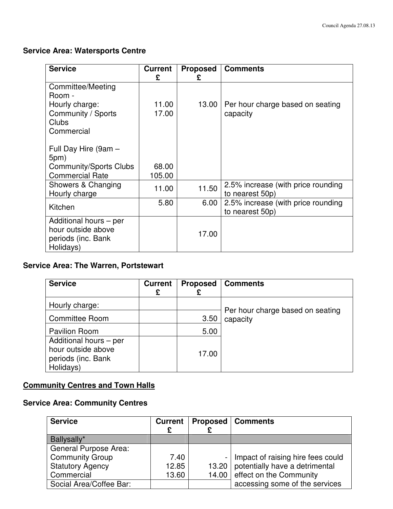# **Service Area: Watersports Centre**

| <b>Service</b>                                                                   | <b>Current</b><br>£ | <b>Proposed</b><br>£ | <b>Comments</b>                                       |
|----------------------------------------------------------------------------------|---------------------|----------------------|-------------------------------------------------------|
| <b>Committee/Meeting</b><br>Room -                                               |                     |                      |                                                       |
| Hourly charge:<br>Community / Sports<br>Clubs<br>Commercial                      | 11.00<br>17.00      | 13.00                | Per hour charge based on seating<br>capacity          |
| Full Day Hire (9am -<br>5pm)<br>Community/Sports Clubs<br><b>Commercial Rate</b> | 68.00<br>105.00     |                      |                                                       |
| Showers & Changing<br>Hourly charge                                              | 11.00               | 11.50                | 2.5% increase (with price rounding<br>to nearest 50p) |
| Kitchen                                                                          | 5.80                | 6.00                 | 2.5% increase (with price rounding<br>to nearest 50p) |
| Additional hours - per<br>hour outside above<br>periods (inc. Bank<br>Holidays)  |                     | 17.00                |                                                       |

# **Service Area: The Warren, Portstewart**

| <b>Service</b>                                                                  | <b>Current</b><br>£ | <b>Proposed</b> | <b>Comments</b>                              |
|---------------------------------------------------------------------------------|---------------------|-----------------|----------------------------------------------|
| Hourly charge:                                                                  |                     |                 |                                              |
| <b>Committee Room</b>                                                           |                     | 3.50            | Per hour charge based on seating<br>capacity |
| <b>Pavilion Room</b>                                                            |                     | 5.00            |                                              |
| Additional hours - per<br>hour outside above<br>periods (inc. Bank<br>Holidays) |                     | 17.00           |                                              |

# **Community Centres and Town Halls**

# **Service Area: Community Centres**

| <b>Service</b>          | <b>Current</b> | <b>Proposed   Comments</b>             |
|-------------------------|----------------|----------------------------------------|
| Ballysally*             |                |                                        |
| General Purpose Area:   |                |                                        |
| <b>Community Group</b>  | 7.40           | - Impact of raising hire fees could    |
| <b>Statutory Agency</b> | 12.85          | 13.20   potentially have a detrimental |
| Commercial              | 13.60          | 14.00 effect on the Community          |
| Social Area/Coffee Bar: |                | accessing some of the services         |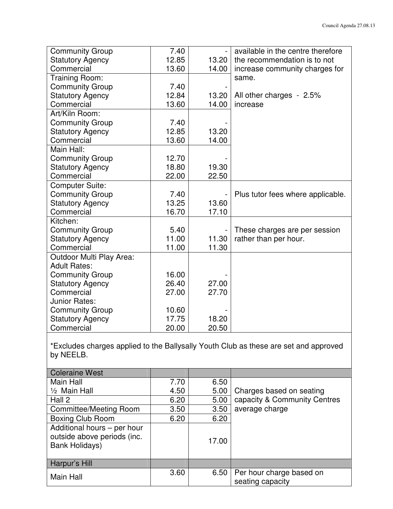| <b>Community Group</b>   | 7.40  |       | available in the centre therefore |
|--------------------------|-------|-------|-----------------------------------|
| <b>Statutory Agency</b>  | 12.85 | 13.20 | the recommendation is to not      |
| Commercial               | 13.60 | 14.00 | increase community charges for    |
| Training Room:           |       |       | same.                             |
| <b>Community Group</b>   | 7.40  |       |                                   |
| <b>Statutory Agency</b>  | 12.84 | 13.20 | All other charges - 2.5%          |
| Commercial               | 13.60 | 14.00 | increase                          |
| Art/Kiln Room:           |       |       |                                   |
| <b>Community Group</b>   | 7.40  |       |                                   |
| <b>Statutory Agency</b>  | 12.85 | 13.20 |                                   |
| Commercial               | 13.60 | 14.00 |                                   |
| Main Hall:               |       |       |                                   |
| <b>Community Group</b>   | 12.70 |       |                                   |
| <b>Statutory Agency</b>  | 18.80 | 19.30 |                                   |
| Commercial               | 22.00 | 22.50 |                                   |
| <b>Computer Suite:</b>   |       |       |                                   |
| <b>Community Group</b>   | 7.40  |       | Plus tutor fees where applicable. |
| <b>Statutory Agency</b>  | 13.25 | 13.60 |                                   |
| Commercial               | 16.70 | 17.10 |                                   |
| Kitchen:                 |       |       |                                   |
| <b>Community Group</b>   | 5.40  |       | These charges are per session     |
| <b>Statutory Agency</b>  | 11.00 | 11.30 | rather than per hour.             |
| Commercial               | 11.00 | 11.30 |                                   |
| Outdoor Multi Play Area: |       |       |                                   |
| <b>Adult Rates:</b>      |       |       |                                   |
| <b>Community Group</b>   | 16.00 |       |                                   |
| <b>Statutory Agency</b>  | 26.40 | 27.00 |                                   |
| Commercial               | 27.00 | 27.70 |                                   |
| Junior Rates:            |       |       |                                   |
| <b>Community Group</b>   | 10.60 |       |                                   |
| <b>Statutory Agency</b>  | 17.75 | 18.20 |                                   |
| Commercial               | 20.00 | 20.50 |                                   |

\*Excludes charges applied to the Ballysally Youth Club as these are set and approved by NEELB.

| <b>Coleraine West</b>                                                               |      |       |                                              |
|-------------------------------------------------------------------------------------|------|-------|----------------------------------------------|
| Main Hall                                                                           | 7.70 | 6.50  |                                              |
| 1/ <sub>2</sub> Main Hall                                                           | 4.50 | 5.00  | Charges based on seating                     |
| Hall 2                                                                              | 6.20 | 5.00  | capacity & Community Centres                 |
| <b>Committee/Meeting Room</b>                                                       | 3.50 | 3.50  | average charge                               |
| <b>Boxing Club Room</b>                                                             | 6.20 | 6.20  |                                              |
| Additional hours - per hour<br>outside above periods (inc.<br><b>Bank Holidays)</b> |      | 17.00 |                                              |
| Harpur's Hill                                                                       |      |       |                                              |
| Main Hall                                                                           | 3.60 | 6.50  | Per hour charge based on<br>seating capacity |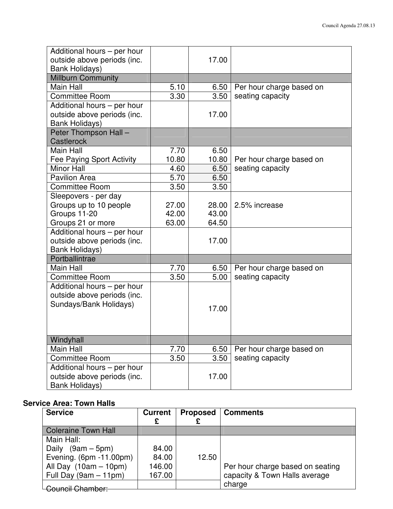| Additional hours - per hour<br>outside above periods (inc.<br><b>Bank Holidays)</b>  |       | 17.00 |                          |
|--------------------------------------------------------------------------------------|-------|-------|--------------------------|
| <b>Millburn Community</b>                                                            |       |       |                          |
| <b>Main Hall</b>                                                                     | 5.10  | 6.50  | Per hour charge based on |
| <b>Committee Room</b>                                                                | 3.30  | 3.50  | seating capacity         |
| Additional hours - per hour<br>outside above periods (inc.<br><b>Bank Holidays)</b>  |       | 17.00 |                          |
| Peter Thompson Hall -<br>Castlerock                                                  |       |       |                          |
| Main Hall                                                                            | 7.70  | 6.50  |                          |
| Fee Paying Sport Activity                                                            | 10.80 | 10.80 | Per hour charge based on |
| <b>Minor Hall</b>                                                                    | 4.60  | 6.50  | seating capacity         |
| <b>Pavilion Area</b>                                                                 | 5.70  | 6.50  |                          |
| <b>Committee Room</b>                                                                | 3.50  | 3.50  |                          |
| Sleepovers - per day                                                                 |       |       |                          |
| Groups up to 10 people                                                               | 27.00 | 28.00 | 2.5% increase            |
| Groups 11-20                                                                         | 42.00 | 43.00 |                          |
| Groups 21 or more                                                                    | 63.00 | 64.50 |                          |
| Additional hours - per hour                                                          |       |       |                          |
| outside above periods (inc.                                                          |       | 17.00 |                          |
| <b>Bank Holidays)</b>                                                                |       |       |                          |
| Portballintrae                                                                       |       |       |                          |
| Main Hall                                                                            | 7.70  | 6.50  | Per hour charge based on |
| <b>Committee Room</b>                                                                | 3.50  | 5.00  | seating capacity         |
| Additional hours - per hour<br>outside above periods (inc.<br>Sundays/Bank Holidays) |       | 17.00 |                          |
| Windyhall                                                                            |       |       |                          |
| Main Hall                                                                            | 7.70  | 6.50  | Per hour charge based on |
| <b>Committee Room</b>                                                                | 3.50  | 3.50  | seating capacity         |
| Additional hours - per hour                                                          |       |       |                          |
| outside above periods (inc.<br><b>Bank Holidays)</b>                                 |       | 17.00 |                          |

# **Service Area: Town Halls**

| <b>Service</b>             | <b>Current</b><br>£ | <b>Proposed</b> | <b>Comments</b>                  |
|----------------------------|---------------------|-----------------|----------------------------------|
| <b>Coleraine Town Hall</b> |                     |                 |                                  |
| Main Hall:                 |                     |                 |                                  |
| Daily $(9am - 5pm)$        | 84.00               |                 |                                  |
| Evening. (6pm -11.00pm)    | 84.00               | 12.50           |                                  |
| All Day $(10am - 10pm)$    | 146.00              |                 | Per hour charge based on seating |
| Full Day $(9am - 11pm)$    | 167.00              |                 | capacity & Town Halls average    |
| <b>Council Chamber:</b>    |                     |                 | charge                           |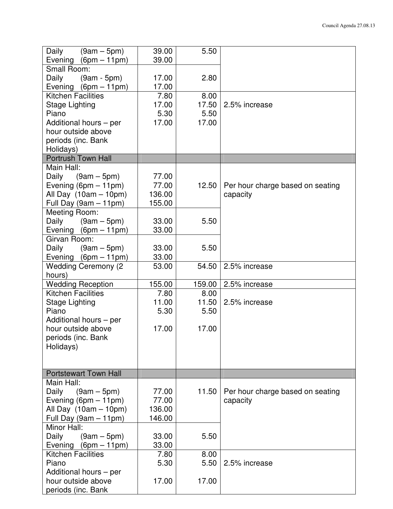| Daily<br>$(9am - 5pm)$       | 39.00  | 5.50   |                                  |
|------------------------------|--------|--------|----------------------------------|
| Evening $(6pm - 11pm)$       | 39.00  |        |                                  |
| Small Room:                  |        |        |                                  |
| Daily<br>$(9am - 5pm)$       | 17.00  | 2.80   |                                  |
| Evening $(6pm - 11pm)$       | 17.00  |        |                                  |
| <b>Kitchen Facilities</b>    | 7.80   | 8.00   |                                  |
| Stage Lighting               | 17.00  | 17.50  | 2.5% increase                    |
| Piano                        | 5.30   | 5.50   |                                  |
| Additional hours - per       | 17.00  | 17.00  |                                  |
| hour outside above           |        |        |                                  |
| periods (inc. Bank           |        |        |                                  |
| Holidays)                    |        |        |                                  |
| <b>Portrush Town Hall</b>    |        |        |                                  |
| Main Hall:                   |        |        |                                  |
|                              |        |        |                                  |
| $(9am - 5pm)$<br>Daily       | 77.00  |        |                                  |
| Evening $(6pm - 11pm)$       | 77.00  | 12.50  | Per hour charge based on seating |
| All Day $(10am - 10pm)$      | 136.00 |        | capacity                         |
| Full Day $(9am - 11pm)$      | 155.00 |        |                                  |
| Meeting Room:                |        |        |                                  |
| $(9am - 5pm)$<br>Daily       | 33.00  | 5.50   |                                  |
| Evening $(6pm - 11pm)$       | 33.00  |        |                                  |
| Girvan Room:                 |        |        |                                  |
| $(9am - 5pm)$<br>Daily       | 33.00  | 5.50   |                                  |
| Evening $(6pm - 11pm)$       | 33.00  |        |                                  |
| <b>Wedding Ceremony (2)</b>  | 53.00  | 54.50  | 2.5% increase                    |
| hours)                       |        |        |                                  |
| <b>Wedding Reception</b>     | 155.00 | 159.00 | 2.5% increase                    |
| Kitchen Facilities           | 7.80   | 8.00   |                                  |
| <b>Stage Lighting</b>        | 11.00  | 11.50  | 2.5% increase                    |
| Piano                        | 5.30   | 5.50   |                                  |
| Additional hours - per       |        |        |                                  |
| hour outside above           | 17.00  | 17.00  |                                  |
| periods (inc. Bank           |        |        |                                  |
| Holidays)                    |        |        |                                  |
|                              |        |        |                                  |
|                              |        |        |                                  |
| <b>Portstewart Town Hall</b> |        |        |                                  |
| Main Hall:                   |        |        |                                  |
| Daily<br>$(9am - 5pm)$       | 77.00  | 11.50  | Per hour charge based on seating |
| Evening $(6pm - 11pm)$       | 77.00  |        | capacity                         |
|                              | 136.00 |        |                                  |
| All Day $(10am - 10pm)$      |        |        |                                  |
| Full Day (9am - 11pm)        | 146.00 |        |                                  |
| Minor Hall:                  |        |        |                                  |
| Daily<br>$(9am - 5pm)$       | 33.00  | 5.50   |                                  |
| Evening $(6pm - 11pm)$       | 33.00  |        |                                  |
| <b>Kitchen Facilities</b>    | 7.80   | 8.00   |                                  |
| Piano                        | 5.30   | 5.50   | 2.5% increase                    |
| Additional hours - per       |        |        |                                  |
| hour outside above           | 17.00  | 17.00  |                                  |
| periods (inc. Bank           |        |        |                                  |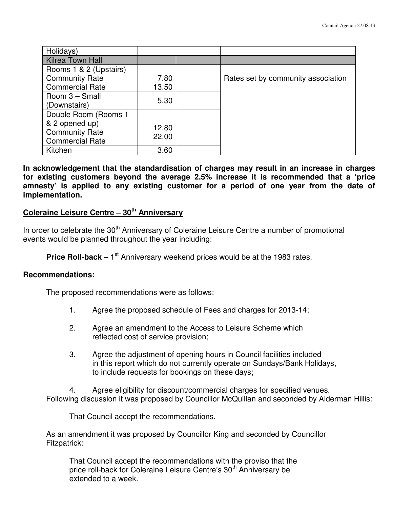| Holidays)               |       |                                    |
|-------------------------|-------|------------------------------------|
| <b>Kilrea Town Hall</b> |       |                                    |
| Rooms 1 & 2 (Upstairs)  |       |                                    |
| <b>Community Rate</b>   | 7.80  | Rates set by community association |
| <b>Commercial Rate</b>  | 13.50 |                                    |
| Room 3 - Small          | 5.30  |                                    |
| (Downstairs)            |       |                                    |
| Double Room (Rooms 1    |       |                                    |
| & 2 opened up)          | 12.80 |                                    |
| <b>Community Rate</b>   | 22.00 |                                    |
| <b>Commercial Rate</b>  |       |                                    |
| Kitchen                 | 3.60  |                                    |

**In acknowledgement that the standardisation of charges may result in an increase in charges for existing customers beyond the average 2.5% increase it is recommended that a 'price amnesty' is applied to any existing customer for a period of one year from the date of implementation.** 

# **Coleraine Leisure Centre – 30th Anniversary**

In order to celebrate the 30<sup>th</sup> Anniversary of Coleraine Leisure Centre a number of promotional events would be planned throughout the year including:

**Price Roll-back** – 1<sup>st</sup> Anniversary weekend prices would be at the 1983 rates.

#### **Recommendations:**

The proposed recommendations were as follows:

- 1. Agree the proposed schedule of Fees and charges for 2013-14;
- 2. Agree an amendment to the Access to Leisure Scheme which reflected cost of service provision;
- 3. Agree the adjustment of opening hours in Council facilities included in this report which do not currently operate on Sundays/Bank Holidays, to include requests for bookings on these days;

 4. Agree eligibility for discount/commercial charges for specified venues. Following discussion it was proposed by Councillor McQuillan and seconded by Alderman Hillis:

That Council accept the recommendations.

As an amendment it was proposed by Councillor King and seconded by Councillor Fitzpatrick:

 That Council accept the recommendations with the proviso that the price roll-back for Coleraine Leisure Centre's 30<sup>th</sup> Anniversary be extended to a week.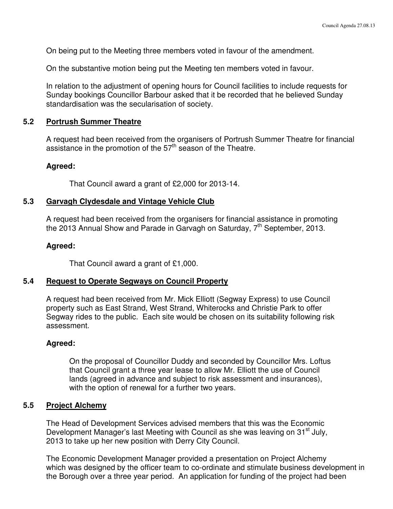On being put to the Meeting three members voted in favour of the amendment.

On the substantive motion being put the Meeting ten members voted in favour.

In relation to the adjustment of opening hours for Council facilities to include requests for Sunday bookings Councillor Barbour asked that it be recorded that he believed Sunday standardisation was the secularisation of society.

#### **5.2 Portrush Summer Theatre**

A request had been received from the organisers of Portrush Summer Theatre for financial assistance in the promotion of the 57<sup>th</sup> season of the Theatre.

#### **Agreed:**

That Council award a grant of £2,000 for 2013-14.

#### **5.3 Garvagh Clydesdale and Vintage Vehicle Club**

 A request had been received from the organisers for financial assistance in promoting the  $2013$  Annual Show and Parade in Garvagh on Saturday,  $7<sup>th</sup>$  September, 2013.

#### **Agreed:**

That Council award a grant of £1,000.

#### **5.4 Request to Operate Segways on Council Property**

 A request had been received from Mr. Mick Elliott (Segway Express) to use Council property such as East Strand, West Strand, Whiterocks and Christie Park to offer Segway rides to the public. Each site would be chosen on its suitability following risk assessment.

#### **Agreed:**

On the proposal of Councillor Duddy and seconded by Councillor Mrs. Loftus that Council grant a three year lease to allow Mr. Elliott the use of Council lands (agreed in advance and subject to risk assessment and insurances), with the option of renewal for a further two years.

#### **5.5 Project Alchemy**

The Head of Development Services advised members that this was the Economic Development Manager's last Meeting with Council as she was leaving on 31<sup>st</sup> July, 2013 to take up her new position with Derry City Council.

 The Economic Development Manager provided a presentation on Project Alchemy which was designed by the officer team to co-ordinate and stimulate business development in the Borough over a three year period. An application for funding of the project had been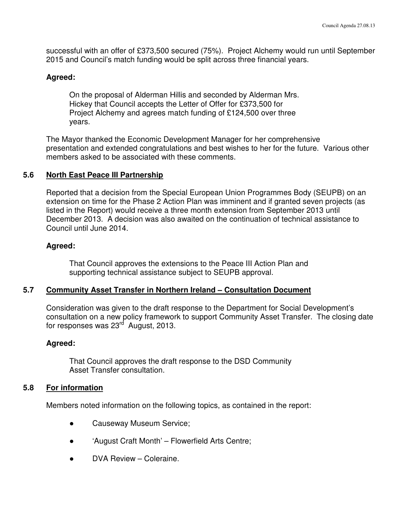successful with an offer of £373,500 secured (75%). Project Alchemy would run until September 2015 and Council's match funding would be split across three financial years.

#### **Agreed:**

 On the proposal of Alderman Hillis and seconded by Alderman Mrs. Hickey that Council accepts the Letter of Offer for £373,500 for Project Alchemy and agrees match funding of £124,500 over three years.

The Mayor thanked the Economic Development Manager for her comprehensive presentation and extended congratulations and best wishes to her for the future. Various other members asked to be associated with these comments.

### **5.6 North East Peace III Partnership**

Reported that a decision from the Special European Union Programmes Body (SEUPB) on an extension on time for the Phase 2 Action Plan was imminent and if granted seven projects (as listed in the Report) would receive a three month extension from September 2013 until December 2013. A decision was also awaited on the continuation of technical assistance to Council until June 2014.

#### **Agreed:**

That Council approves the extensions to the Peace III Action Plan and supporting technical assistance subject to SEUPB approval.

#### **5.7 Community Asset Transfer in Northern Ireland – Consultation Document**

Consideration was given to the draft response to the Department for Social Development's consultation on a new policy framework to support Community Asset Transfer. The closing date for responses was  $23<sup>rd</sup>$  August, 2013.

#### **Agreed:**

That Council approves the draft response to the DSD Community Asset Transfer consultation.

#### **5.8 For information**

Members noted information on the following topics, as contained in the report:

- **Causeway Museum Service;**
- 'August Craft Month' Flowerfield Arts Centre;
- DVA Review Coleraine.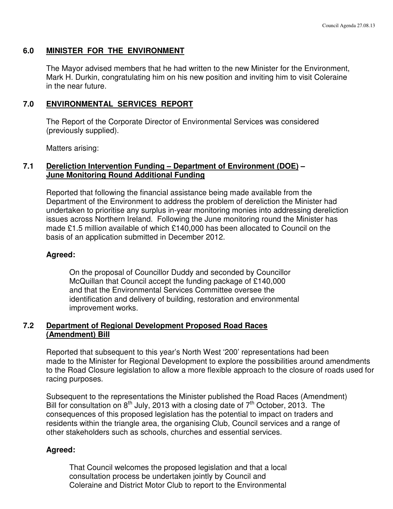#### **6.0 MINISTER FOR THE ENVIRONMENT**

 The Mayor advised members that he had written to the new Minister for the Environment, Mark H. Durkin, congratulating him on his new position and inviting him to visit Coleraine in the near future.

#### **7.0 ENVIRONMENTAL SERVICES REPORT**

 The Report of the Corporate Director of Environmental Services was considered (previously supplied).

Matters arising:

#### **7.1 Dereliction Intervention Funding – Department of Environment (DOE) – June Monitoring Round Additional Funding**

 Reported that following the financial assistance being made available from the Department of the Environment to address the problem of dereliction the Minister had undertaken to prioritise any surplus in-year monitoring monies into addressing dereliction issues across Northern Ireland. Following the June monitoring round the Minister has made £1.5 million available of which £140,000 has been allocated to Council on the basis of an application submitted in December 2012.

#### **Agreed:**

 On the proposal of Councillor Duddy and seconded by Councillor McQuillan that Council accept the funding package of £140,000 and that the Environmental Services Committee oversee the identification and delivery of building, restoration and environmental improvement works.

#### **7.2 Department of Regional Development Proposed Road Races (Amendment) Bill**

Reported that subsequent to this year's North West '200' representations had been made to the Minister for Regional Development to explore the possibilities around amendments to the Road Closure legislation to allow a more flexible approach to the closure of roads used for racing purposes.

 Subsequent to the representations the Minister published the Road Races (Amendment) Bill for consultation on  $8<sup>th</sup>$  July, 2013 with a closing date of  $7<sup>th</sup>$  October, 2013. The consequences of this proposed legislation has the potential to impact on traders and residents within the triangle area, the organising Club, Council services and a range of other stakeholders such as schools, churches and essential services.

#### **Agreed:**

 That Council welcomes the proposed legislation and that a local consultation process be undertaken jointly by Council and Coleraine and District Motor Club to report to the Environmental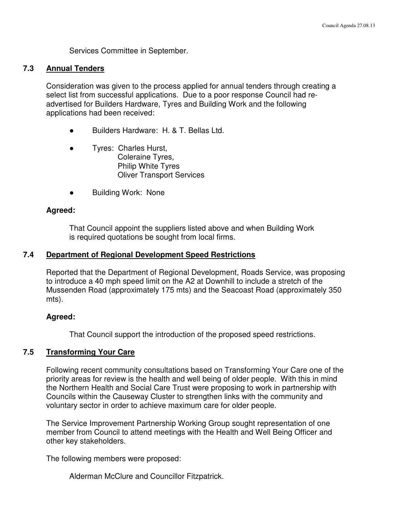Services Committee in September.

#### **7.3 Annual Tenders**

Consideration was given to the process applied for annual tenders through creating a select list from successful applications. Due to a poor response Council had re advertised for Builders Hardware, Tyres and Building Work and the following applications had been received:

- Builders Hardware: H. & T. Bellas Ltd.
- Tyres: Charles Hurst, Coleraine Tyres, Philip White Tyres Oliver Transport Services
- **Building Work: None**

#### **Agreed:**

 That Council appoint the suppliers listed above and when Building Work is required quotations be sought from local firms.

#### **7.4 Department of Regional Development Speed Restrictions**

Reported that the Department of Regional Development, Roads Service, was proposing to introduce a 40 mph speed limit on the A2 at Downhill to include a stretch of the Mussenden Road (approximately 175 mts) and the Seacoast Road (approximately 350 mts).

#### **Agreed:**

That Council support the introduction of the proposed speed restrictions.

#### **7.5 Transforming Your Care**

Following recent community consultations based on Transforming Your Care one of the priority areas for review is the health and well being of older people. With this in mind the Northern Health and Social Care Trust were proposing to work in partnership with Councils within the Causeway Cluster to strengthen links with the community and voluntary sector in order to achieve maximum care for older people.

 The Service Improvement Partnership Working Group sought representation of one member from Council to attend meetings with the Health and Well Being Officer and other key stakeholders.

The following members were proposed:

Alderman McClure and Councillor Fitzpatrick.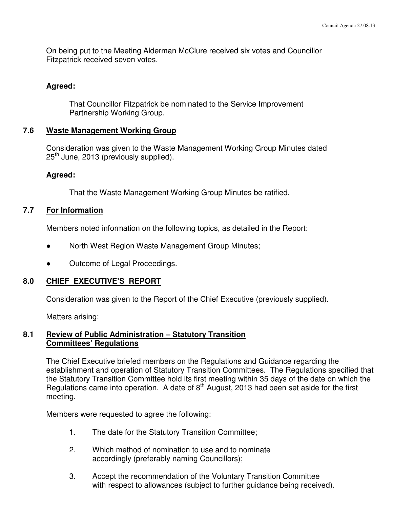On being put to the Meeting Alderman McClure received six votes and Councillor Fitzpatrick received seven votes.

#### **Agreed:**

That Councillor Fitzpatrick be nominated to the Service Improvement Partnership Working Group.

#### **7.6 Waste Management Working Group**

 Consideration was given to the Waste Management Working Group Minutes dated  $25<sup>th</sup>$  June, 2013 (previously supplied).

#### **Agreed:**

That the Waste Management Working Group Minutes be ratified.

#### **7.7 For Information**

Members noted information on the following topics, as detailed in the Report:

- North West Region Waste Management Group Minutes;
- Outcome of Legal Proceedings.

#### **8.0 CHIEF EXECUTIVE'S REPORT**

Consideration was given to the Report of the Chief Executive (previously supplied).

Matters arising:

#### **8.1 Review of Public Administration – Statutory Transition Committees' Regulations**

 The Chief Executive briefed members on the Regulations and Guidance regarding the establishment and operation of Statutory Transition Committees. The Regulations specified that the Statutory Transition Committee hold its first meeting within 35 days of the date on which the Regulations came into operation. A date of 8th August, 2013 had been set aside for the first meeting.

Members were requested to agree the following:

- 1. The date for the Statutory Transition Committee;
- 2. Which method of nomination to use and to nominate accordingly (preferably naming Councillors);
- 3. Accept the recommendation of the Voluntary Transition Committee with respect to allowances (subject to further quidance being received).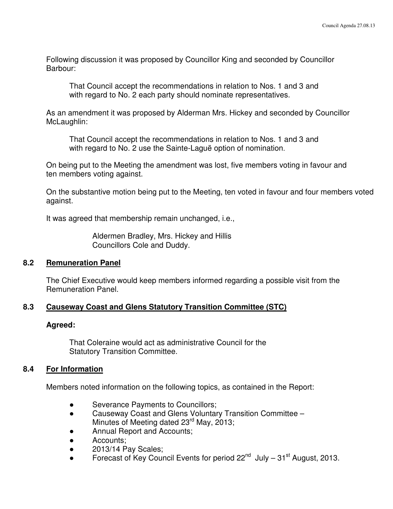Following discussion it was proposed by Councillor King and seconded by Councillor Barbour:

 That Council accept the recommendations in relation to Nos. 1 and 3 and with regard to No. 2 each party should nominate representatives.

 As an amendment it was proposed by Alderman Mrs. Hickey and seconded by Councillor McLaughlin:

 That Council accept the recommendations in relation to Nos. 1 and 3 and with regard to No. 2 use the Sainte-Laguë option of nomination.

 On being put to the Meeting the amendment was lost, five members voting in favour and ten members voting against.

On the substantive motion being put to the Meeting, ten voted in favour and four members voted against.

It was agreed that membership remain unchanged, i.e.,

 Aldermen Bradley, Mrs. Hickey and Hillis Councillors Cole and Duddy.

#### **8.2 Remuneration Panel**

 The Chief Executive would keep members informed regarding a possible visit from the Remuneration Panel.

#### **8.3 Causeway Coast and Glens Statutory Transition Committee (STC)**

#### **Agreed:**

That Coleraine would act as administrative Council for the Statutory Transition Committee.

#### **8.4 For Information**

Members noted information on the following topics, as contained in the Report:

- Severance Payments to Councillors;
- Causeway Coast and Glens Voluntary Transition Committee Minutes of Meeting dated 23<sup>rd</sup> May, 2013;
- Annual Report and Accounts;
- Accounts;
- $\bullet$  2013/14 Pay Scales;
- Forecast of Key Council Events for period  $22^{nd}$  July  $31^{st}$  August, 2013.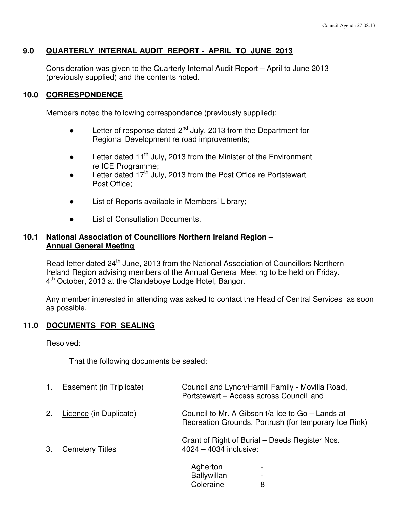#### **9.0 QUARTERLY INTERNAL AUDIT REPORT - APRIL TO JUNE 2013**

 Consideration was given to the Quarterly Internal Audit Report – April to June 2013 (previously supplied) and the contents noted.

#### **10.0 CORRESPONDENCE**

Members noted the following correspondence (previously supplied):

- **•** Letter of response dated  $2^{nd}$  July, 2013 from the Department for Regional Development re road improvements;
- **•** Letter dated 11<sup>th</sup> July, 2013 from the Minister of the Environment re ICE Programme;
- Letter dated 17<sup>th</sup> July, 2013 from the Post Office re Portstewart Post Office;
- List of Reports available in Members' Library;
- **List of Consultation Documents.**

#### **10.1 National Association of Councillors Northern Ireland Region – Annual General Meeting**

Read letter dated 24<sup>th</sup> June, 2013 from the National Association of Councillors Northern Ireland Region advising members of the Annual General Meeting to be held on Friday, 4<sup>th</sup> October, 2013 at the Clandeboye Lodge Hotel, Bangor.

Any member interested in attending was asked to contact the Head of Central Services as soon as possible.

## **11.0 DOCUMENTS FOR SEALING**

Resolved:

That the following documents be sealed:

|    | <b>Easement</b> (in Triplicate) | Council and Lynch/Hamill Family - Movilla Road,<br>Portstewart - Access across Council land                 |
|----|---------------------------------|-------------------------------------------------------------------------------------------------------------|
| 2. | Licence (in Duplicate)          | Council to Mr. A Gibson t/a Ice to $Go -$ Lands at<br>Recreation Grounds, Portrush (for temporary Ice Rink) |
| 3. | <b>Cemetery Titles</b>          | Grant of Right of Burial - Deeds Register Nos.<br>4024 - 4034 inclusive:                                    |
|    |                                 | Agherton<br>۰<br><b>Ballywillan</b>                                                                         |

Coleraine 8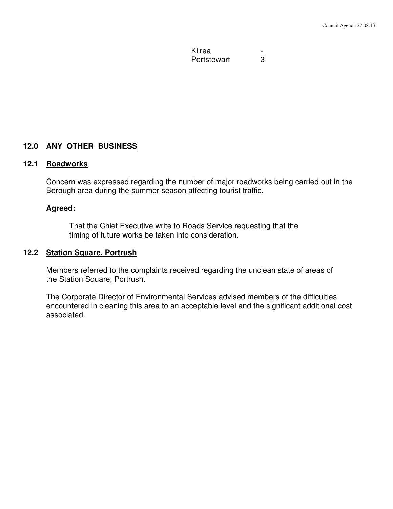**Kilrea** Portstewart 3

**12.0 ANY OTHER BUSINESS**

#### **12.1 Roadworks**

Concern was expressed regarding the number of major roadworks being carried out in the Borough area during the summer season affecting tourist traffic.

#### **Agreed:**

That the Chief Executive write to Roads Service requesting that the timing of future works be taken into consideration.

#### **12.2 Station Square, Portrush**

 Members referred to the complaints received regarding the unclean state of areas of the Station Square, Portrush.

The Corporate Director of Environmental Services advised members of the difficulties encountered in cleaning this area to an acceptable level and the significant additional cost associated.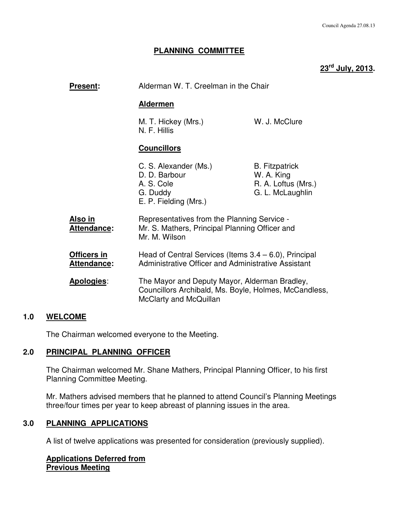#### **PLANNING COMMITTEE**

# **23rd July, 2013.**

| <b>Present:</b>                      |                                                                                                                 | Alderman W. T. Creelman in the Chair                                                                   |  |  |
|--------------------------------------|-----------------------------------------------------------------------------------------------------------------|--------------------------------------------------------------------------------------------------------|--|--|
|                                      | <u>Aldermen</u>                                                                                                 |                                                                                                        |  |  |
|                                      | M. T. Hickey (Mrs.)<br>N. F. Hillis                                                                             | W. J. McClure                                                                                          |  |  |
|                                      | <b>Councillors</b>                                                                                              |                                                                                                        |  |  |
|                                      | C. S. Alexander (Ms.)<br>D. D. Barbour<br>A. S. Cole<br>G. Duddy<br>E. P. Fielding (Mrs.)                       | <b>B.</b> Fitzpatrick<br>W. A. King<br>R. A. Loftus (Mrs.)<br>G. L. McLaughlin                         |  |  |
| <u>Also in</u><br><b>Attendance:</b> | Representatives from the Planning Service -<br>Mr. S. Mathers, Principal Planning Officer and<br>Mr. M. Wilson  |                                                                                                        |  |  |
| Officers in<br>Attendance:           | Head of Central Services (Items $3.4 - 6.0$ ), Principal<br>Administrative Officer and Administrative Assistant |                                                                                                        |  |  |
| Apologies:                           | McClarty and McQuillan                                                                                          | The Mayor and Deputy Mayor, Alderman Bradley,<br>Councillors Archibald, Ms. Boyle, Holmes, McCandless, |  |  |

#### **1.0 WELCOME**

The Chairman welcomed everyone to the Meeting.

#### **2.0 PRINCIPAL PLANNING OFFICER**

 The Chairman welcomed Mr. Shane Mathers, Principal Planning Officer, to his first Planning Committee Meeting.

 Mr. Mathers advised members that he planned to attend Council's Planning Meetings three/four times per year to keep abreast of planning issues in the area.

#### **3.0 PLANNING APPLICATIONS**

A list of twelve applications was presented for consideration (previously supplied).

**Applications Deferred from Previous Meeting**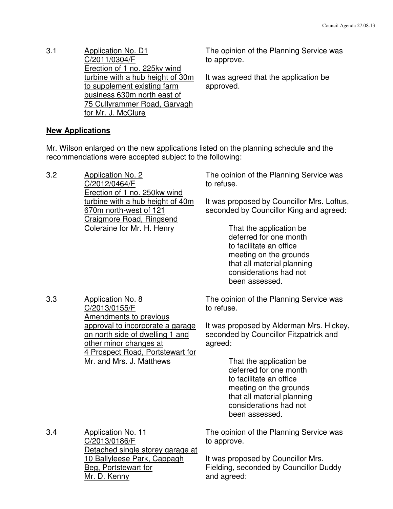3.1 Application No. D1 C/2011/0304/F Erection of 1 no. 225kv wind turbine with a hub height of 30m to supplement existing farm business 630m north east of 75 Cullyrammer Road, Garvagh for Mr. J. McClure

The opinion of the Planning Service was to approve.

The opinion of the Planning Service was

It was agreed that the application be approved.

### **New Applications**

3.2 Application No. 2

 Mr. Wilson enlarged on the new applications listed on the planning schedule and the recommendations were accepted subject to the following:

|     | C/2012/0464/F<br>Erection of 1 no. 250kw wind                                                                                                                                                                                               | to refuse.                                                                                                                                                                                                                                                                                                                                 |
|-----|---------------------------------------------------------------------------------------------------------------------------------------------------------------------------------------------------------------------------------------------|--------------------------------------------------------------------------------------------------------------------------------------------------------------------------------------------------------------------------------------------------------------------------------------------------------------------------------------------|
|     | turbine with a hub height of 40m<br>670m north-west of 121<br><b>Craigmore Road, Ringsend</b><br>Coleraine for Mr. H. Henry                                                                                                                 | It was proposed by Councillor Mrs. Loftus,<br>seconded by Councillor King and agreed:<br>That the application be<br>deferred for one month<br>to facilitate an office<br>meeting on the grounds<br>that all material planning<br>considerations had not<br>been assessed.                                                                  |
| 3.3 | <b>Application No. 8</b><br>C/2013/0155/F<br><b>Amendments to previous</b><br>approval to incorporate a garage<br>on north side of dwelling 1 and<br>other minor changes at<br>4 Prospect Road, Portstewart for<br>Mr. and Mrs. J. Matthews | The opinion of the Planning Service was<br>to refuse.<br>It was proposed by Alderman Mrs. Hickey,<br>seconded by Councillor Fitzpatrick and<br>agreed:<br>That the application be<br>deferred for one month<br>to facilitate an office<br>meeting on the grounds<br>that all material planning<br>considerations had not<br>been assessed. |
| 3.4 | <b>Application No. 11</b><br>C/2013/0186/F<br>Detached single storey garage at<br>10 Ballyleese Park, Cappagh<br>Beg, Portstewart for<br>Mr. D. Kenny                                                                                       | The opinion of the Planning Service was<br>to approve.<br>It was proposed by Councillor Mrs.<br>Fielding, seconded by Councillor Duddy<br>and agreed:                                                                                                                                                                                      |